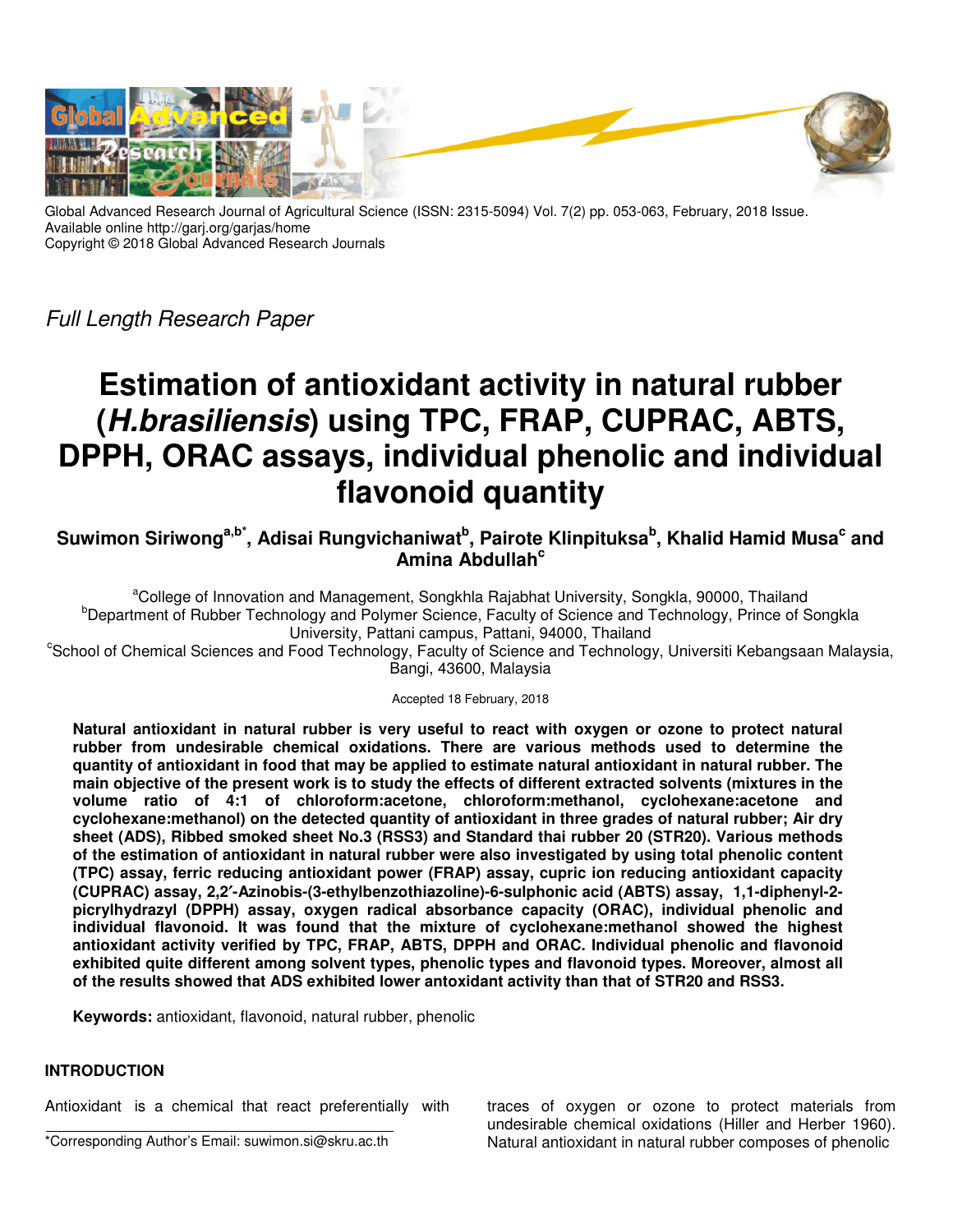

Global Advanced Research Journal of Agricultural Science (ISSN: 2315-5094) Vol. 7(2) pp. 053-063, February, 2018 Issue. Available online http://garj.org/garjas/home Copyright © 2018 Global Advanced Research Journals

Full Length Research Paper

# **Estimation of antioxidant activity in natural rubber (H.brasiliensis) using TPC, FRAP, CUPRAC, ABTS, DPPH, ORAC assays, individual phenolic and individual flavonoid quantity**

 $\boldsymbol{\mathsf{S}}$ uwimon Siriwong<sup>a,b\*</sup>, Adisai Rungvichaniwat<sup>b</sup>, Pairote Klinpituksa<sup>b</sup>, Khalid Hamid Musa<sup>c</sup> and **Amina Abdullah<sup>c</sup>**

<sup>a</sup>College of Innovation and Management, Songkhla Rajabhat University, Songkla, 90000, Thailand <sup>b</sup>Department of Rubber Technology and Polymer Science, Faculty of Science and Technology, Prince of Songkla University, Pattani campus, Pattani, 94000, Thailand

<sup>c</sup>School of Chemical Sciences and Food Technology, Faculty of Science and Technology, Universiti Kebangsaan Malaysia, Bangi, 43600, Malaysia

Accepted 18 February, 2018

**Natural antioxidant in natural rubber is very useful to react with oxygen or ozone to protect natural rubber from undesirable chemical oxidations. There are various methods used to determine the quantity of antioxidant in food that may be applied to estimate natural antioxidant in natural rubber. The main objective of the present work is to study the effects of different extracted solvents (mixtures in the volume ratio of 4:1 of chloroform:acetone, chloroform:methanol, cyclohexane:acetone and cyclohexane:methanol) on the detected quantity of antioxidant in three grades of natural rubber; Air dry sheet (ADS), Ribbed smoked sheet No.3 (RSS3) and Standard thai rubber 20 (STR20). Various methods of the estimation of antioxidant in natural rubber were also investigated by using total phenolic content (TPC) assay, ferric reducing antioxidant power (FRAP) assay, cupric ion reducing antioxidant capacity (CUPRAC) assay, 2,2**′**-Azinobis-(3-ethylbenzothiazoline)-6-sulphonic acid (ABTS) assay, 1,1-diphenyl-2 picrylhydrazyl (DPPH) assay, oxygen radical absorbance capacity (ORAC), individual phenolic and individual flavonoid. It was found that the mixture of cyclohexane:methanol showed the highest antioxidant activity verified by TPC, FRAP, ABTS, DPPH and ORAC. Individual phenolic and flavonoid exhibited quite different among solvent types, phenolic types and flavonoid types. Moreover, almost all of the results showed that ADS exhibited lower antoxidant activity than that of STR20 and RSS3.** 

**Keywords:** antioxidant, flavonoid, natural rubber, phenolic

# **INTRODUCTION**

Antioxidant is a chemical that react preferentially with

\*Corresponding Author's Email: suwimon.si@skru.ac.th

traces of oxygen or ozone to protect materials from undesirable chemical oxidations (Hiller and Herber 1960). Natural antioxidant in natural rubber composes of phenolic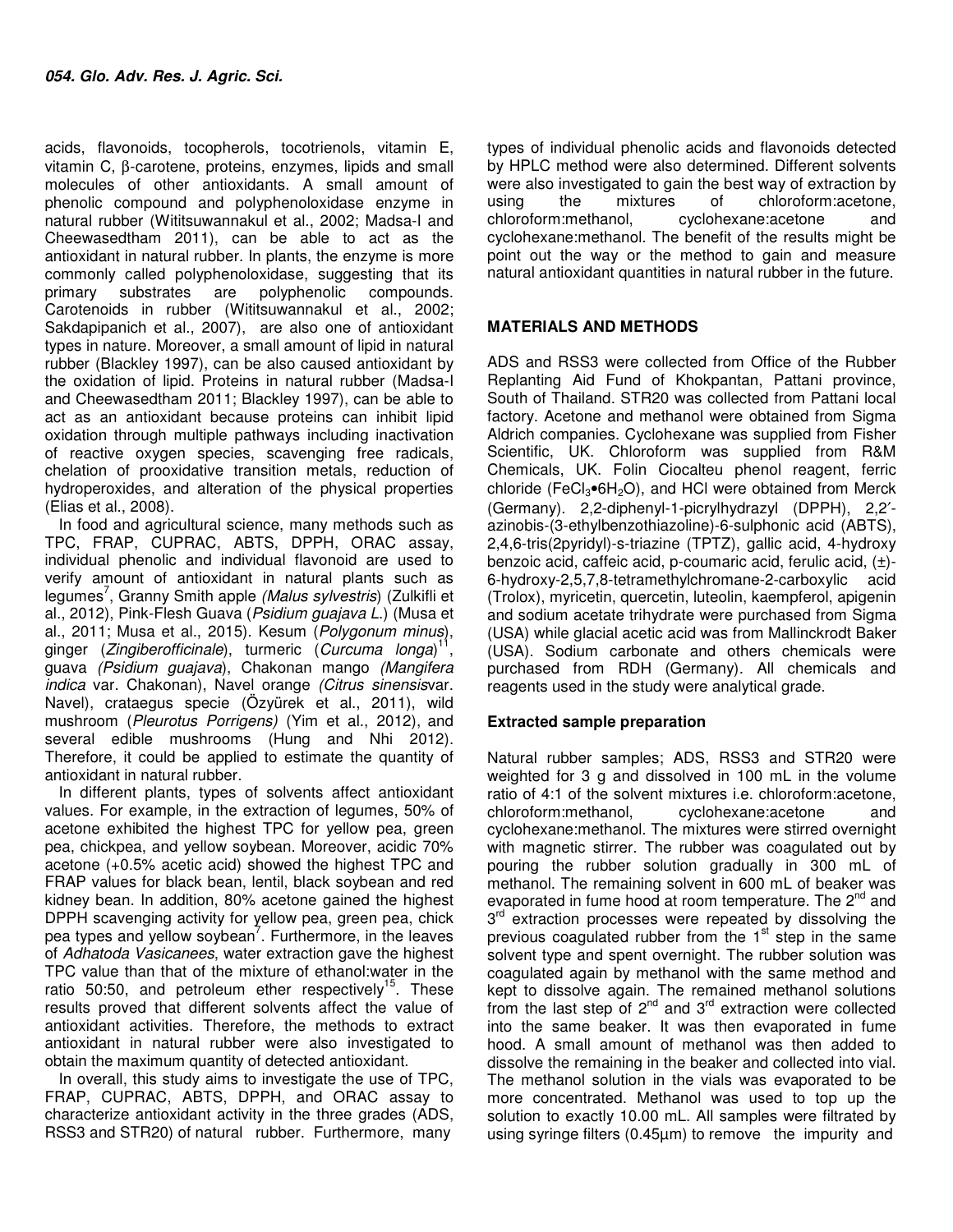acids, flavonoids, tocopherols, tocotrienols, vitamin E, vitamin C, β-carotene, proteins, enzymes, lipids and small molecules of other antioxidants. A small amount of phenolic compound and polyphenoloxidase enzyme in natural rubber (Wititsuwannakul et al., 2002; Madsa-I and Cheewasedtham 2011), can be able to act as the antioxidant in natural rubber. In plants, the enzyme is more commonly called polyphenoloxidase, suggesting that its<br>primary substrates are polyphenolic compounds. primary substrates are polyphenolic compounds. Carotenoids in rubber (Wititsuwannakul et al., 2002; Sakdapipanich et al., 2007), are also one of antioxidant types in nature. Moreover, a small amount of lipid in natural rubber (Blackley 1997), can be also caused antioxidant by the oxidation of lipid. Proteins in natural rubber (Madsa-I and Cheewasedtham 2011; Blackley 1997), can be able to act as an antioxidant because proteins can inhibit lipid oxidation through multiple pathways including inactivation of reactive oxygen species, scavenging free radicals, chelation of prooxidative transition metals, reduction of hydroperoxides, and alteration of the physical properties (Elias et al., 2008).

In food and agricultural science, many methods such as TPC, FRAP, CUPRAC, ABTS, DPPH, ORAC assay, individual phenolic and individual flavonoid are used to verify amount of antioxidant in natural plants such as legumes<sup>7</sup>, Granny Smith apple (Malus sylvestris) (Zulkifli et al., 2012), Pink-Flesh Guava (Psidium guajava L.) (Musa et al., 2011; Musa et al., 2015). Kesum (Polygonum minus), ginger (Zingiberofficinale), turmeric (Curcuma longa)<sup>11</sup> , guava (Psidium guajava), Chakonan mango (Mangifera indica var. Chakonan), Navel orange (Citrus sinensisvar. Navel), crataegus specie (Özyürek et al., 2011), wild mushroom (Pleurotus Porrigens) (Yim et al., 2012), and several edible mushrooms (Hung and Nhi 2012). Therefore, it could be applied to estimate the quantity of antioxidant in natural rubber.

In different plants, types of solvents affect antioxidant values. For example, in the extraction of legumes, 50% of acetone exhibited the highest TPC for yellow pea, green pea, chickpea, and yellow soybean. Moreover, acidic 70% acetone (+0.5% acetic acid) showed the highest TPC and FRAP values for black bean, lentil, black soybean and red kidney bean. In addition, 80% acetone gained the highest DPPH scavenging activity for yellow pea, green pea, chick pea types and yellow soybean<sup>7</sup>. Furthermore, in the leaves of Adhatoda Vasicanees, water extraction gave the highest TPC value than that of the mixture of ethanol:water in the ratio 50:50, and petroleum ether respectively<sup>15</sup>. These results proved that different solvents affect the value of antioxidant activities. Therefore, the methods to extract antioxidant in natural rubber were also investigated to obtain the maximum quantity of detected antioxidant.

In overall, this study aims to investigate the use of TPC, FRAP, CUPRAC, ABTS, DPPH, and ORAC assay to characterize antioxidant activity in the three grades (ADS, RSS3 and STR20) of natural rubber. Furthermore, many

types of individual phenolic acids and flavonoids detected by HPLC method were also determined. Different solvents were also investigated to gain the best way of extraction by using the mixtures of chloroform:acetone, chloroform:methanol, cyclohexane:acetone and cyclohexane:methanol. The benefit of the results might be point out the way or the method to gain and measure natural antioxidant quantities in natural rubber in the future.

# **MATERIALS AND METHODS**

ADS and RSS3 were collected from Office of the Rubber Replanting Aid Fund of Khokpantan, Pattani province, South of Thailand. STR20 was collected from Pattani local factory. Acetone and methanol were obtained from Sigma Aldrich companies. Cyclohexane was supplied from Fisher Scientific, UK. Chloroform was supplied from R&M Chemicals, UK. Folin Ciocalteu phenol reagent, ferric chloride (FeCl<sub>3</sub>•6H<sub>2</sub>O), and HCl were obtained from Merck (Germany). 2,2-diphenyl-1-picrylhydrazyl (DPPH), 2,2′ azinobis-(3-ethylbenzothiazoline)-6-sulphonic acid (ABTS), 2,4,6-tris(2pyridyl)-s-triazine (TPTZ), gallic acid, 4-hydroxy benzoic acid, caffeic acid, p-coumaric acid, ferulic acid, (±)- 6-hydroxy-2,5,7,8-tetramethylchromane-2-carboxylic acid (Trolox), myricetin, quercetin, luteolin, kaempferol, apigenin and sodium acetate trihydrate were purchased from Sigma (USA) while glacial acetic acid was from Mallinckrodt Baker (USA). Sodium carbonate and others chemicals were purchased from RDH (Germany). All chemicals and reagents used in the study were analytical grade.

# **Extracted sample preparation**

Natural rubber samples; ADS, RSS3 and STR20 were weighted for 3 g and dissolved in 100 mL in the volume ratio of 4:1 of the solvent mixtures i.e. chloroform:acetone, chloroform:methanol, cyclohexane:acetone and cyclohexane:methanol. The mixtures were stirred overnight with magnetic stirrer. The rubber was coagulated out by pouring the rubber solution gradually in 300 mL of methanol. The remaining solvent in 600 mL of beaker was evaporated in fume hood at room temperature. The 2<sup>nd</sup> and 3<sup>rd</sup> extraction processes were repeated by dissolving the previous coagulated rubber from the  $1<sup>st</sup>$  step in the same solvent type and spent overnight. The rubber solution was coagulated again by methanol with the same method and kept to dissolve again. The remained methanol solutions from the last step of  $2<sup>nd</sup>$  and  $3<sup>rd</sup>$  extraction were collected into the same beaker. It was then evaporated in fume hood. A small amount of methanol was then added to dissolve the remaining in the beaker and collected into vial. The methanol solution in the vials was evaporated to be more concentrated. Methanol was used to top up the solution to exactly 10.00 mL. All samples were filtrated by using syringe filters (0.45µm) to remove the impurity and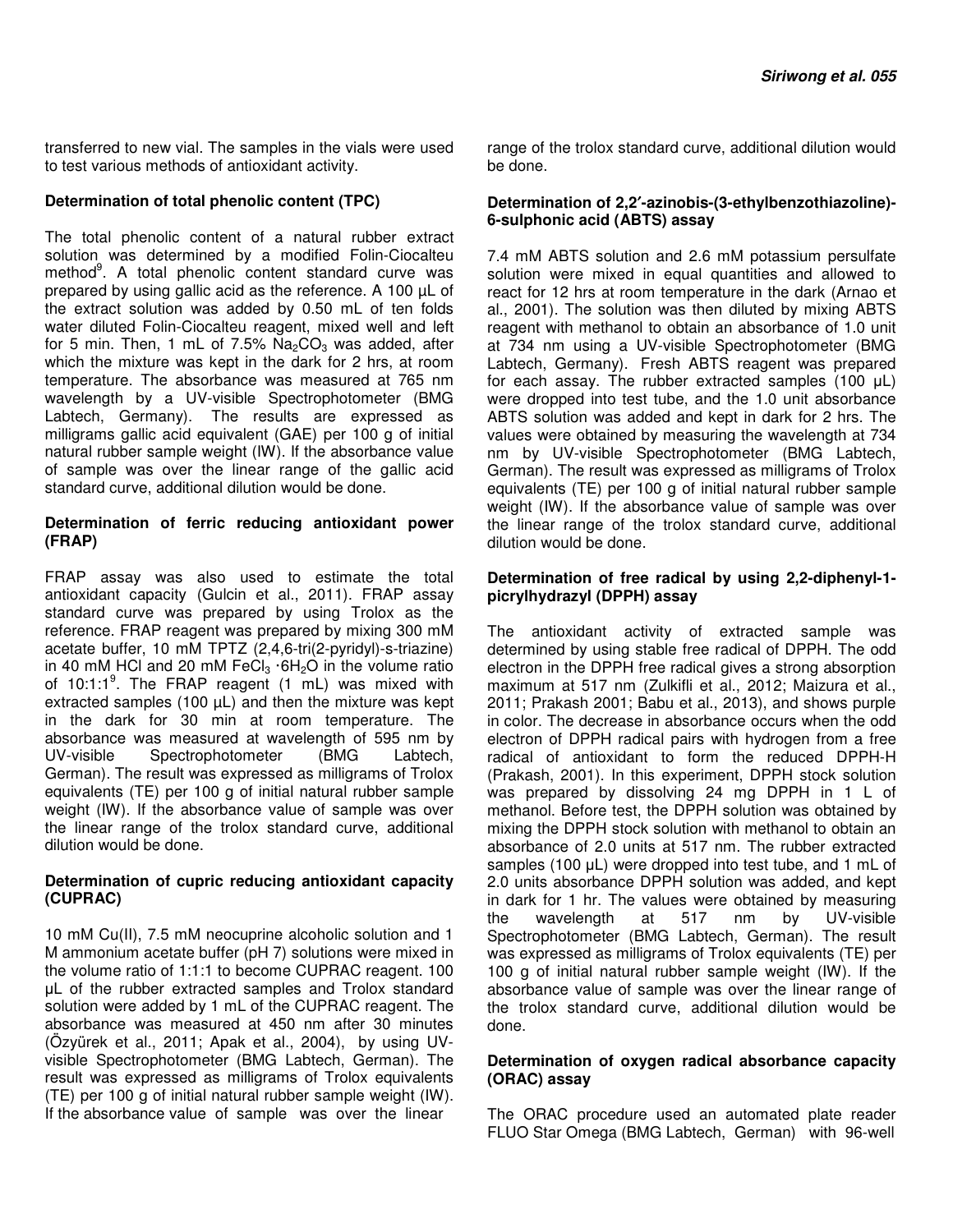transferred to new vial. The samples in the vials were used to test various methods of antioxidant activity.

## **Determination of total phenolic content (TPC)**

The total phenolic content of a natural rubber extract solution was determined by a modified Folin-Ciocalteu method<sup>9</sup>. A total phenolic content standard curve was prepared by using gallic acid as the reference. A 100 µL of the extract solution was added by 0.50 mL of ten folds water diluted Folin-Ciocalteu reagent, mixed well and left for 5 min. Then, 1 mL of 7.5%  $Na<sub>2</sub>CO<sub>3</sub>$  was added, after which the mixture was kept in the dark for 2 hrs, at room temperature. The absorbance was measured at 765 nm wavelength by a UV-visible Spectrophotometer (BMG Labtech, Germany). The results are expressed as milligrams gallic acid equivalent (GAE) per 100 g of initial natural rubber sample weight (IW). If the absorbance value of sample was over the linear range of the gallic acid standard curve, additional dilution would be done.

#### **Determination of ferric reducing antioxidant power (FRAP)**

FRAP assay was also used to estimate the total antioxidant capacity (Gulcin et al., 2011). FRAP assay standard curve was prepared by using Trolox as the reference. FRAP reagent was prepared by mixing 300 mM acetate buffer, 10 mM TPTZ (2,4,6-tri(2-pyridyl)-s-triazine) in 40 mM HCl and 20 mM FeCl $_3$  ·6H<sub>2</sub>O in the volume ratio of  $10:1:1<sup>9</sup>$ . The FRAP reagent (1 mL) was mixed with extracted samples (100  $\mu$ L) and then the mixture was kept in the dark for 30 min at room temperature. The absorbance was measured at wavelength of 595 nm by UV-visible Spectrophotometer (BMG Labtech, German). The result was expressed as milligrams of Trolox equivalents (TE) per 100 g of initial natural rubber sample weight (IW). If the absorbance value of sample was over the linear range of the trolox standard curve, additional dilution would be done.

## **Determination of cupric reducing antioxidant capacity (CUPRAC)**

10 mM Cu(II), 7.5 mM neocuprine alcoholic solution and 1 M ammonium acetate buffer (pH 7) solutions were mixed in the volume ratio of 1:1:1 to become CUPRAC reagent. 100 µL of the rubber extracted samples and Trolox standard solution were added by 1 mL of the CUPRAC reagent. The absorbance was measured at 450 nm after 30 minutes (Özyürek et al., 2011; Apak et al., 2004), by using UVvisible Spectrophotometer (BMG Labtech, German). The result was expressed as milligrams of Trolox equivalents (TE) per 100 g of initial natural rubber sample weight (IW). If the absorbance value of sample was over the linear

range of the trolox standard curve, additional dilution would be done.

### **Determination of 2,2**′**-azinobis-(3-ethylbenzothiazoline)- 6-sulphonic acid (ABTS) assay**

7.4 mM ABTS solution and 2.6 mM potassium persulfate solution were mixed in equal quantities and allowed to react for 12 hrs at room temperature in the dark (Arnao et al., 2001). The solution was then diluted by mixing ABTS reagent with methanol to obtain an absorbance of 1.0 unit at 734 nm using a UV-visible Spectrophotometer (BMG Labtech, Germany). Fresh ABTS reagent was prepared for each assay. The rubber extracted samples (100 µL) were dropped into test tube, and the 1.0 unit absorbance ABTS solution was added and kept in dark for 2 hrs. The values were obtained by measuring the wavelength at 734 nm by UV-visible Spectrophotometer (BMG Labtech, German). The result was expressed as milligrams of Trolox equivalents (TE) per 100 g of initial natural rubber sample weight (IW). If the absorbance value of sample was over the linear range of the trolox standard curve, additional dilution would be done.

## **Determination of free radical by using 2,2-diphenyl-1 picrylhydrazyl (DPPH) assay**

The antioxidant activity of extracted sample was determined by using stable free radical of DPPH. The odd electron in the DPPH free radical gives a strong absorption maximum at 517 nm (Zulkifli et al., 2012; Maizura et al., 2011; Prakash 2001; Babu et al., 2013), and shows purple in color. The decrease in absorbance occurs when the odd electron of DPPH radical pairs with hydrogen from a free radical of antioxidant to form the reduced DPPH-H (Prakash, 2001). In this experiment, DPPH stock solution was prepared by dissolving 24 mg DPPH in 1 L of methanol. Before test, the DPPH solution was obtained by mixing the DPPH stock solution with methanol to obtain an absorbance of 2.0 units at 517 nm. The rubber extracted samples (100 µL) were dropped into test tube, and 1 mL of 2.0 units absorbance DPPH solution was added, and kept in dark for 1 hr. The values were obtained by measuring the wavelength at 517 nm by UV-visible Spectrophotometer (BMG Labtech, German). The result was expressed as milligrams of Trolox equivalents (TE) per 100 g of initial natural rubber sample weight (IW). If the absorbance value of sample was over the linear range of the trolox standard curve, additional dilution would be done.

## **Determination of oxygen radical absorbance capacity (ORAC) assay**

The ORAC procedure used an automated plate reader FLUO Star Omega (BMG Labtech, German) with 96-well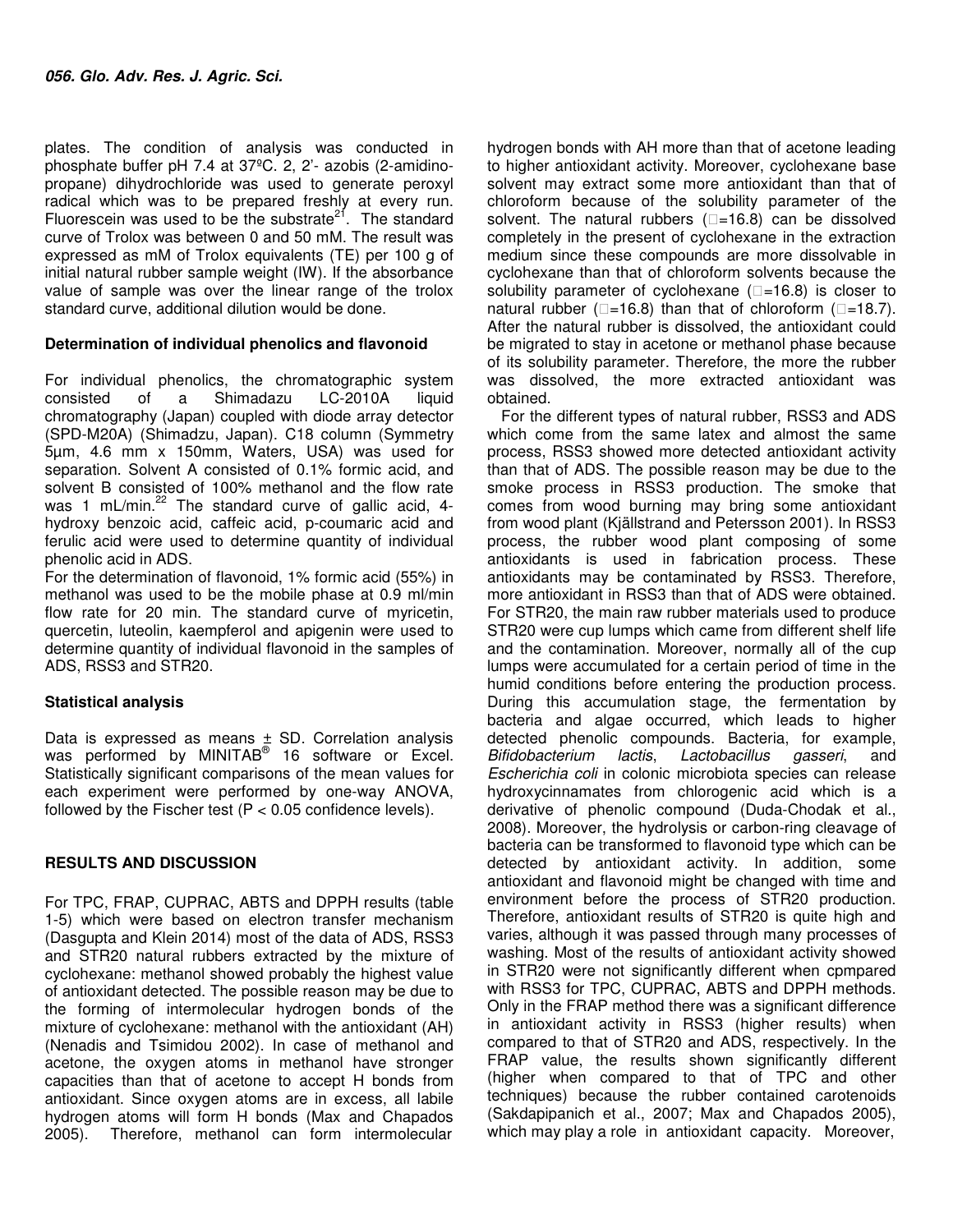plates. The condition of analysis was conducted in phosphate buffer pH 7.4 at 37ºC. 2, 2'- azobis (2-amidinopropane) dihydrochloride was used to generate peroxyl radical which was to be prepared freshly at every run. Fluorescein was used to be the substrate<sup>21</sup>. The standard curve of Trolox was between 0 and 50 mM. The result was expressed as mM of Trolox equivalents (TE) per 100 g of initial natural rubber sample weight (IW). If the absorbance value of sample was over the linear range of the trolox standard curve, additional dilution would be done.

## **Determination of individual phenolics and flavonoid**

For individual phenolics, the chromatographic system consisted of a Shimadazu LC-2010A liquid chromatography (Japan) coupled with diode array detector (SPD-M20A) (Shimadzu, Japan). C18 column (Symmetry 5µm, 4.6 mm x 150mm, Waters, USA) was used for separation. Solvent A consisted of 0.1% formic acid, and solvent B consisted of 100% methanol and the flow rate was 1 mL/min. $^{22}$  The standard curve of gallic acid, 4hydroxy benzoic acid, caffeic acid, p-coumaric acid and ferulic acid were used to determine quantity of individual phenolic acid in ADS.

For the determination of flavonoid, 1% formic acid (55%) in methanol was used to be the mobile phase at 0.9 ml/min flow rate for 20 min. The standard curve of myricetin, quercetin, luteolin, kaempferol and apigenin were used to determine quantity of individual flavonoid in the samples of ADS, RSS3 and STR20.

# **Statistical analysis**

Data is expressed as means  $\pm$  SD. Correlation analysis was performed by MINITAB<sup>®</sup> 16 software or Excel. Statistically significant comparisons of the mean values for each experiment were performed by one-way ANOVA, followed by the Fischer test ( $P < 0.05$  confidence levels).

# **RESULTS AND DISCUSSION**

For TPC, FRAP, CUPRAC, ABTS and DPPH results (table 1-5) which were based on electron transfer mechanism (Dasgupta and Klein 2014) most of the data of ADS, RSS3 and STR20 natural rubbers extracted by the mixture of cyclohexane: methanol showed probably the highest value of antioxidant detected. The possible reason may be due to the forming of intermolecular hydrogen bonds of the mixture of cyclohexane: methanol with the antioxidant (AH) (Nenadis and Tsimidou 2002). In case of methanol and acetone, the oxygen atoms in methanol have stronger capacities than that of acetone to accept H bonds from antioxidant. Since oxygen atoms are in excess, all labile hydrogen atoms will form H bonds (Max and Chapados 2005). Therefore, methanol can form intermolecular

hydrogen bonds with AH more than that of acetone leading to higher antioxidant activity. Moreover, cyclohexane base solvent may extract some more antioxidant than that of chloroform because of the solubility parameter of the solvent. The natural rubbers  $($  $=$ 16.8) can be dissolved completely in the present of cyclohexane in the extraction medium since these compounds are more dissolvable in cyclohexane than that of chloroform solvents because the solubility parameter of cyclohexane  $($  $=$ 16.8) is closer to natural rubber ( $\square$ =16.8) than that of chloroform ( $\square$ =18.7). After the natural rubber is dissolved, the antioxidant could be migrated to stay in acetone or methanol phase because of its solubility parameter. Therefore, the more the rubber was dissolved, the more extracted antioxidant was obtained.

For the different types of natural rubber, RSS3 and ADS which come from the same latex and almost the same process, RSS3 showed more detected antioxidant activity than that of ADS. The possible reason may be due to the smoke process in RSS3 production. The smoke that comes from wood burning may bring some antioxidant from wood plant (Kjällstrand and Petersson 2001). In RSS3 process, the rubber wood plant composing of some antioxidants is used in fabrication process. These antioxidants may be contaminated by RSS3. Therefore, more antioxidant in RSS3 than that of ADS were obtained. For STR20, the main raw rubber materials used to produce STR20 were cup lumps which came from different shelf life and the contamination. Moreover, normally all of the cup lumps were accumulated for a certain period of time in the humid conditions before entering the production process. During this accumulation stage, the fermentation by bacteria and algae occurred, which leads to higher detected phenolic compounds. Bacteria, for example, Bifidobacterium lactis, Lactobacillus gasseri, and Escherichia coli in colonic microbiota species can release hydroxycinnamates from chlorogenic acid which is a derivative of phenolic compound (Duda-Chodak et al., 2008). Moreover, the hydrolysis or carbon-ring cleavage of bacteria can be transformed to flavonoid type which can be detected by antioxidant activity. In addition, some antioxidant and flavonoid might be changed with time and environment before the process of STR20 production. Therefore, antioxidant results of STR20 is quite high and varies, although it was passed through many processes of washing. Most of the results of antioxidant activity showed in STR20 were not significantly different when cpmpared with RSS3 for TPC, CUPRAC, ABTS and DPPH methods. Only in the FRAP method there was a significant difference in antioxidant activity in RSS3 (higher results) when compared to that of STR20 and ADS, respectively. In the FRAP value, the results shown significantly different (higher when compared to that of TPC and other techniques) because the rubber contained carotenoids (Sakdapipanich et al., 2007; Max and Chapados 2005), which may play a role in antioxidant capacity. Moreover,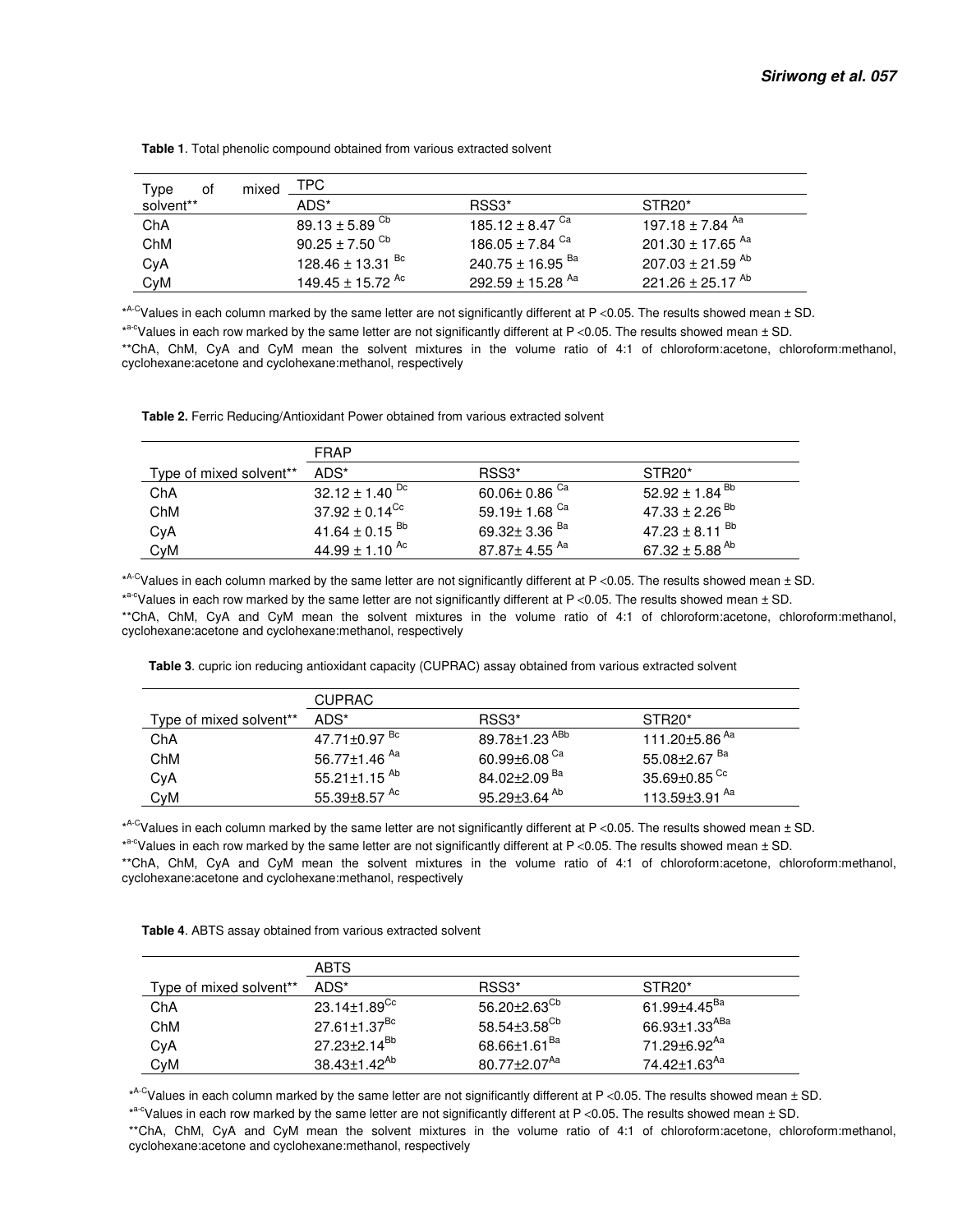| Type<br>οf | mixed | TPC                            |                                  |                                  |  |  |
|------------|-------|--------------------------------|----------------------------------|----------------------------------|--|--|
| solvent**  |       | ADS*                           | RSS3*                            | STR <sub>20</sub> *              |  |  |
| ChA        |       | $89.13 \pm 5.89$ <sup>Cb</sup> | 185.12 $\pm$ 8.47 $^{\text{Ca}}$ | 197.18 $\pm$ 7.84 $^{\sf Aa}$    |  |  |
| ChM        |       | $90.25 \pm 7.50$ <sup>Cb</sup> | 186.05 $\pm$ 7.84 $^{\rm Ca}$    | 201.30 $\pm$ 17.65 <sup>Aa</sup> |  |  |
| CyA        |       | 128.46 ± 13.31 $^{Bc}$         | 240.75 ± 16.95 $^{Ba}$           | 207.03 $\pm$ 21.59 <sup>Ab</sup> |  |  |
| CyM        |       | 149.45 ± 15.72 <sup>Ac</sup>   | 292.59 ± 15.28 $^{Aa}$           | 221.26 ± 25.17 <sup>Ab</sup>     |  |  |

 **Table 1**. Total phenolic compound obtained from various extracted solvent

\* A-CValues in each column marked by the same letter are not significantly different at P <0.05. The results showed mean ± SD.

\*<sup>a-c</sup>Values in each row marked by the same letter are not significantly different at P <0.05. The results showed mean ± SD.

\*\*ChA, ChM, CyA and CyM mean the solvent mixtures in the volume ratio of 4:1 of chloroform:acetone, chloroform:methanol, cyclohexane:acetone and cyclohexane:methanol, respectively

 **Table 2.** Ferric Reducing/Antioxidant Power obtained from various extracted solvent

|                         | FRAP                           |                                 |                                |  |
|-------------------------|--------------------------------|---------------------------------|--------------------------------|--|
| Type of mixed solvent** | ADS*                           | RSS <sub>3</sub> *              | STR <sub>20</sub> <sup>*</sup> |  |
| ChA                     | 32.12 $\pm$ 1.40 <sup>Dc</sup> | 60.06 $\pm$ 0.86 $^{\text{Ca}}$ | $52.92 \pm 1.84$ <sup>Bb</sup> |  |
| ChM                     | $37.92 \pm 0.14^{\text{Cc}}$   | 59.19 $\pm$ 1.68 $^\mathrm{Ca}$ | $47.33 \pm 2.26$ <sup>Bb</sup> |  |
| CyA                     | 41.64 $\pm$ 0.15 <sup>Bb</sup> | 69.32 $\pm$ 3.36 $^{\text{Ba}}$ | 47.23 ± 8.11 $^{bb}$           |  |
| CyM                     | 44.99 $\pm$ 1.10 <sup>Ac</sup> | $87.87\pm4.55$ $^{\sf Aa}$      | 67.32 $\pm$ 5.88 <sup>Ab</sup> |  |

\* A-CValues in each column marked by the same letter are not significantly different at P <0.05. The results showed mean ± SD.

\*a-cValues in each row marked by the same letter are not significantly different at P <0.05. The results showed mean  $\pm$  SD. \*\*ChA, ChM, CyA and CyM mean the solvent mixtures in the volume ratio of 4:1 of chloroform:acetone, chloroform:methanol, cyclohexane:acetone and cyclohexane:methanol, respectively

 **Table 3**. cupric ion reducing antioxidant capacity (CUPRAC) assay obtained from various extracted solvent

|                         | <b>CUPRAC</b>                  |                           |                           |  |  |
|-------------------------|--------------------------------|---------------------------|---------------------------|--|--|
| Type of mixed solvent** | ADS*                           | RSS <sub>3</sub> *        | STR <sub>20</sub> *       |  |  |
| ChA                     | 47.71±0.97 <sup>Bc</sup>       | 89.78±1.23 <sup>ABb</sup> | 111.20±5.86 <sup>Aa</sup> |  |  |
| ChM                     | 56.77±1.46 <sup>Aa</sup>       | 60.99±6.08 $^{\rm Ca}$    | 55.08±2.67 <sup>Ba</sup>  |  |  |
| CyA                     | 55.21 $\pm$ 1.15 <sup>Ab</sup> | 84.02±2.09 <sup>Ba</sup>  | 35.69±0.85 <sup>Cc</sup>  |  |  |
| CvM                     | 55.39±8.57 <sup>Ac</sup>       | 95.29±3.64 <sup>Ab</sup>  | 113.59±3.91 <sup>Aa</sup> |  |  |

\* A-CValues in each column marked by the same letter are not significantly different at P <0.05. The results showed mean ± SD.

\*<sup>a-c</sup>Values in each row marked by the same letter are not significantly different at P <0.05. The results showed mean ± SD.

\*\*ChA, ChM, CyA and CyM mean the solvent mixtures in the volume ratio of 4:1 of chloroform:acetone, chloroform:methanol, cyclohexane:acetone and cyclohexane:methanol, respectively

|                         | <b>ABTS</b>                     |                              |                           |
|-------------------------|---------------------------------|------------------------------|---------------------------|
| Type of mixed solvent** | ADS*                            | RSS <sub>3</sub> *           | STR <sub>20</sub> *       |
| ChA                     | 23.14 $\pm$ 1.89 $^{\text{Cc}}$ | $56.20\pm2.63^{\text{Cb}}$   | 61.99±4.45 <sup>Ba</sup>  |
| ChM                     | 27.61±1.37 <sup>Bc</sup>        | $58.54{\pm}3.58^{\text{Cb}}$ | 66.93±1.33 <sup>ABa</sup> |
| CyA                     | 27.23±2.14 <sup>Bb</sup>        | 68.66±1.61 <sup>Ba</sup>     | 71.29±6.92 <sup>Aa</sup>  |
| CyM                     | $38.43 \pm 1.42^{Ab}$           | 80.77 $\pm$ 2.07 $^{Aa}$     | 74.42±1.63 <sup>Aa</sup>  |

\* A-CValues in each column marked by the same letter are not significantly different at P <0.05. The results showed mean ± SD.

\*<sup>a-c</sup>Values in each row marked by the same letter are not significantly different at P <0.05. The results showed mean ± SD.

\*\*ChA, ChM, CyA and CyM mean the solvent mixtures in the volume ratio of 4:1 of chloroform:acetone, chloroform:methanol, cyclohexane:acetone and cyclohexane:methanol, respectively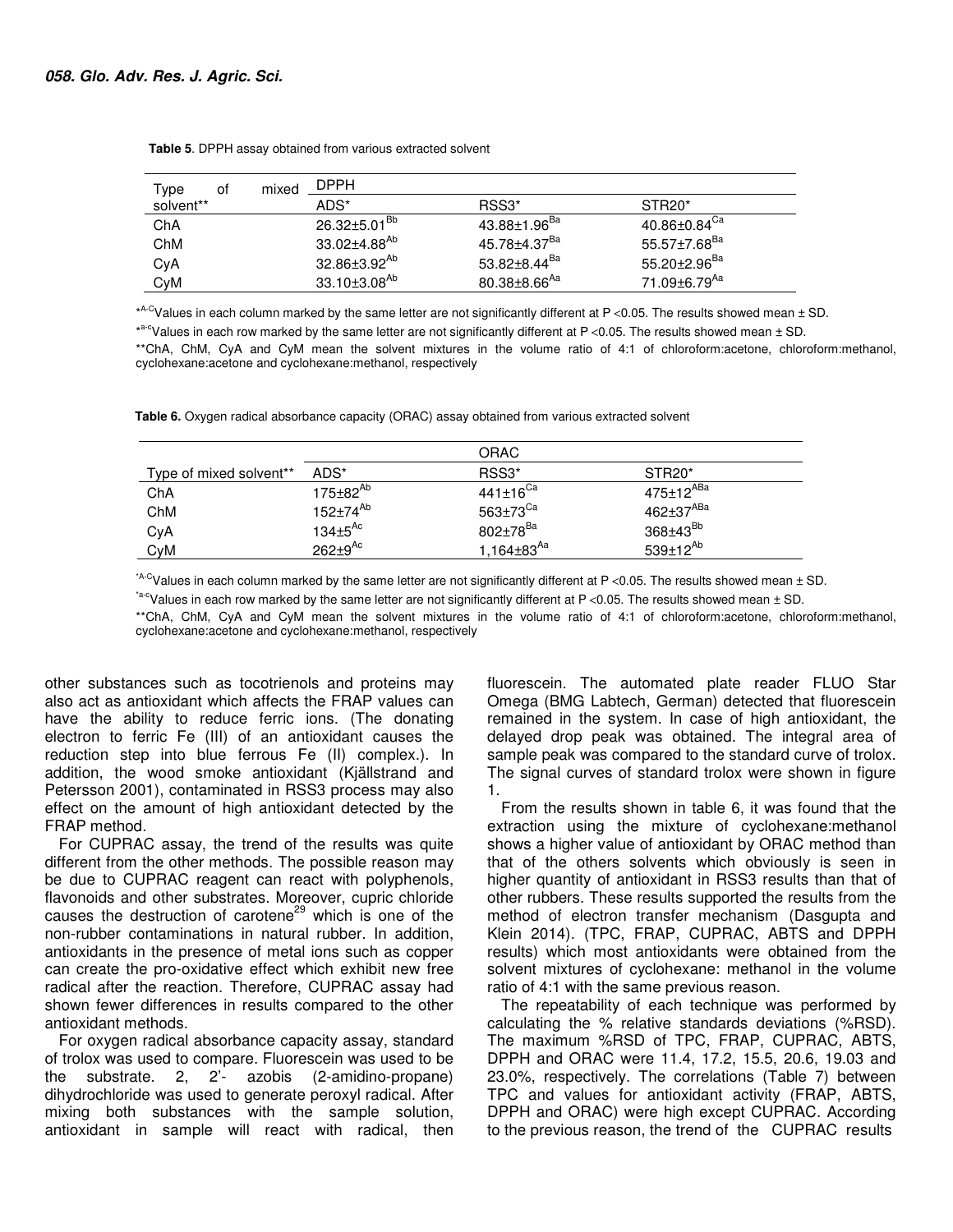| Type      | οt | mixed | <b>DPPH</b>              |                          |                                |
|-----------|----|-------|--------------------------|--------------------------|--------------------------------|
| solvent** |    |       | ADS*                     | RSS <sub>3</sub> *       | STR <sub>20</sub> <sup>*</sup> |
| ChA       |    |       | 26.32±5.01 <sup>Bb</sup> | 43.88±1.96 <sup>Ba</sup> | 40.86±0.84 <sup>Ca</sup>       |
| ChM       |    |       | 33.02±4.88 <sup>Ab</sup> | 45.78±4.37 <sup>Ba</sup> | $55.57{\pm}7.68^{\text{Ba}}$   |
| CyA       |    |       | 32.86±3.92 <sup>Ab</sup> | 53.82±8.44 <sup>Ba</sup> | 55.20±2.96 <sup>Ba</sup>       |
| CyM       |    |       | $33.10 \pm 3.08^{Ab}$    | $80.38\pm8.66^{Aa}$      | 71.09±6.79 <sup>Aa</sup>       |

 **Table 5**. DPPH assay obtained from various extracted solvent

\* A-CValues in each column marked by the same letter are not significantly different at P <0.05. The results showed mean ± SD.

\*<sup>a-c</sup>Values in each row marked by the same letter are not significantly different at P <0.05. The results showed mean ± SD.

\*\*ChA, ChM, CyA and CyM mean the solvent mixtures in the volume ratio of 4:1 of chloroform:acetone, chloroform:methanol, cyclohexane:acetone and cyclohexane:methanol, respectively

 **Table 6.** Oxygen radical absorbance capacity (ORAC) assay obtained from various extracted solvent

|                         |                           | <b>ORAC</b>                |                                |
|-------------------------|---------------------------|----------------------------|--------------------------------|
| Type of mixed solvent** | ADS*                      | RSS <sub>3</sub> *         | STR <sub>20</sub> <sup>*</sup> |
| ChA                     | $175 \pm 82^{Ab}$         | $441 \pm 16$ <sup>Ca</sup> | $475 \pm 12^{ABa}$             |
| ChM                     | $152 \pm 74^{Ab}$         | $563\pm73$ <sup>Ca</sup>   | $462 + 37^{ABa}$               |
| CyA                     | $134 \pm 5$ <sup>Ac</sup> | $802 \pm 78^{Ba}$          | $368\pm43^{Bb}$                |
| CyM                     | $262 \pm 9$ <sup>Ac</sup> | 1.164±83 <sup>Aa</sup>     | 539 $\pm$ 12 <sup>Ab</sup>     |

\*A-CValues in each column marked by the same letter are not significantly different at P <0.05. The results showed mean  $\pm$  SD.

 $A^*$ -CValues in each row marked by the same letter are not significantly different at P <0.05. The results showed mean  $\pm$  SD.

\*\*ChA, ChM, CyA and CyM mean the solvent mixtures in the volume ratio of 4:1 of chloroform:acetone, chloroform:methanol, cyclohexane:acetone and cyclohexane:methanol, respectively

other substances such as tocotrienols and proteins may also act as antioxidant which affects the FRAP values can have the ability to reduce ferric ions. (The donating electron to ferric Fe (III) of an antioxidant causes the reduction step into blue ferrous Fe (II) complex.). In addition, the wood smoke antioxidant (Kjällstrand and Petersson 2001), contaminated in RSS3 process may also effect on the amount of high antioxidant detected by the FRAP method.

For CUPRAC assay, the trend of the results was quite different from the other methods. The possible reason may be due to CUPRAC reagent can react with polyphenols, flavonoids and other substrates. Moreover, cupric chloride causes the destruction of carotene<sup>29</sup> which is one of the non-rubber contaminations in natural rubber. In addition, antioxidants in the presence of metal ions such as copper can create the pro-oxidative effect which exhibit new free radical after the reaction. Therefore, CUPRAC assay had shown fewer differences in results compared to the other antioxidant methods.

For oxygen radical absorbance capacity assay, standard of trolox was used to compare. Fluorescein was used to be the substrate. 2, 2'- azobis (2-amidino-propane) dihydrochloride was used to generate peroxyl radical. After mixing both substances with the sample solution, antioxidant in sample will react with radical, then

fluorescein. The automated plate reader FLUO Star Omega (BMG Labtech, German) detected that fluorescein remained in the system. In case of high antioxidant, the delayed drop peak was obtained. The integral area of sample peak was compared to the standard curve of trolox. The signal curves of standard trolox were shown in figure 1.

From the results shown in table 6, it was found that the extraction using the mixture of cyclohexane:methanol shows a higher value of antioxidant by ORAC method than that of the others solvents which obviously is seen in higher quantity of antioxidant in RSS3 results than that of other rubbers. These results supported the results from the method of electron transfer mechanism (Dasgupta and Klein 2014). (TPC, FRAP, CUPRAC, ABTS and DPPH results) which most antioxidants were obtained from the solvent mixtures of cyclohexane: methanol in the volume ratio of 4:1 with the same previous reason.

The repeatability of each technique was performed by calculating the % relative standards deviations (%RSD). The maximum %RSD of TPC, FRAP, CUPRAC, ABTS, DPPH and ORAC were 11.4, 17.2, 15.5, 20.6, 19.03 and 23.0%, respectively. The correlations (Table 7) between TPC and values for antioxidant activity (FRAP, ABTS, DPPH and ORAC) were high except CUPRAC. According to the previous reason, the trend of the CUPRAC results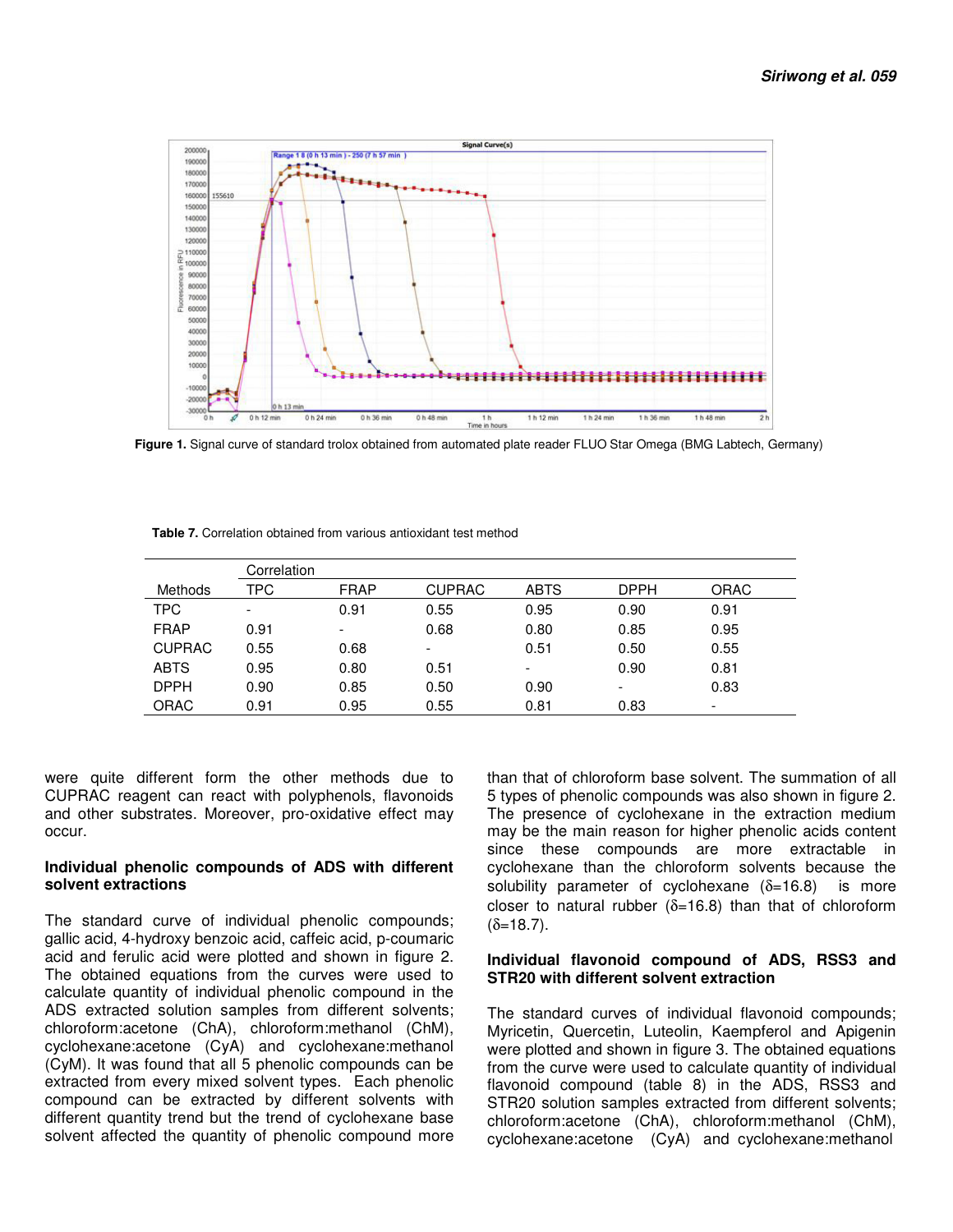

 **Figure 1.** Signal curve of standard trolox obtained from automated plate reader FLUO Star Omega (BMG Labtech, Germany)

|                | Correlation              |             |                          |                          |                          |             |  |  |
|----------------|--------------------------|-------------|--------------------------|--------------------------|--------------------------|-------------|--|--|
| <b>Methods</b> | TPC                      | <b>FRAP</b> | <b>CUPRAC</b>            | <b>ABTS</b>              | <b>DPPH</b>              | <b>ORAC</b> |  |  |
| <b>TPC</b>     | $\overline{\phantom{a}}$ | 0.91        | 0.55                     | 0.95                     | 0.90                     | 0.91        |  |  |
| <b>FRAP</b>    | 0.91                     | -           | 0.68                     | 0.80                     | 0.85                     | 0.95        |  |  |
| <b>CUPRAC</b>  | 0.55                     | 0.68        | $\overline{\phantom{a}}$ | 0.51                     | 0.50                     | 0.55        |  |  |
| <b>ABTS</b>    | 0.95                     | 0.80        | 0.51                     | $\overline{\phantom{a}}$ | 0.90                     | 0.81        |  |  |
| <b>DPPH</b>    | 0.90                     | 0.85        | 0.50                     | 0.90                     | $\overline{\phantom{0}}$ | 0.83        |  |  |
| <b>ORAC</b>    | 0.91                     | 0.95        | 0.55                     | 0.81                     | 0.83                     |             |  |  |

 **Table 7.** Correlation obtained from various antioxidant test method

were quite different form the other methods due to CUPRAC reagent can react with polyphenols, flavonoids and other substrates. Moreover, pro-oxidative effect may occur.

#### **Individual phenolic compounds of ADS with different solvent extractions**

The standard curve of individual phenolic compounds; gallic acid, 4-hydroxy benzoic acid, caffeic acid, p-coumaric acid and ferulic acid were plotted and shown in figure 2. The obtained equations from the curves were used to calculate quantity of individual phenolic compound in the ADS extracted solution samples from different solvents; chloroform:acetone (ChA), chloroform:methanol (ChM), cyclohexane:acetone (CyA) and cyclohexane:methanol (CyM). It was found that all 5 phenolic compounds can be extracted from every mixed solvent types. Each phenolic compound can be extracted by different solvents with different quantity trend but the trend of cyclohexane base solvent affected the quantity of phenolic compound more

than that of chloroform base solvent. The summation of all 5 types of phenolic compounds was also shown in figure 2. The presence of cyclohexane in the extraction medium may be the main reason for higher phenolic acids content since these compounds are more extractable in cyclohexane than the chloroform solvents because the solubility parameter of cyclohexane  $(\delta=16.8)$  is more closer to natural rubber ( $\delta$ =16.8) than that of chloroform  $(δ=18.7)$ .

### **Individual flavonoid compound of ADS, RSS3 and STR20 with different solvent extraction**

The standard curves of individual flavonoid compounds; Myricetin, Quercetin, Luteolin, Kaempferol and Apigenin were plotted and shown in figure 3. The obtained equations from the curve were used to calculate quantity of individual flavonoid compound (table 8) in the ADS, RSS3 and STR20 solution samples extracted from different solvents; chloroform:acetone (ChA), chloroform:methanol (ChM), cyclohexane:acetone (CyA) and cyclohexane:methanol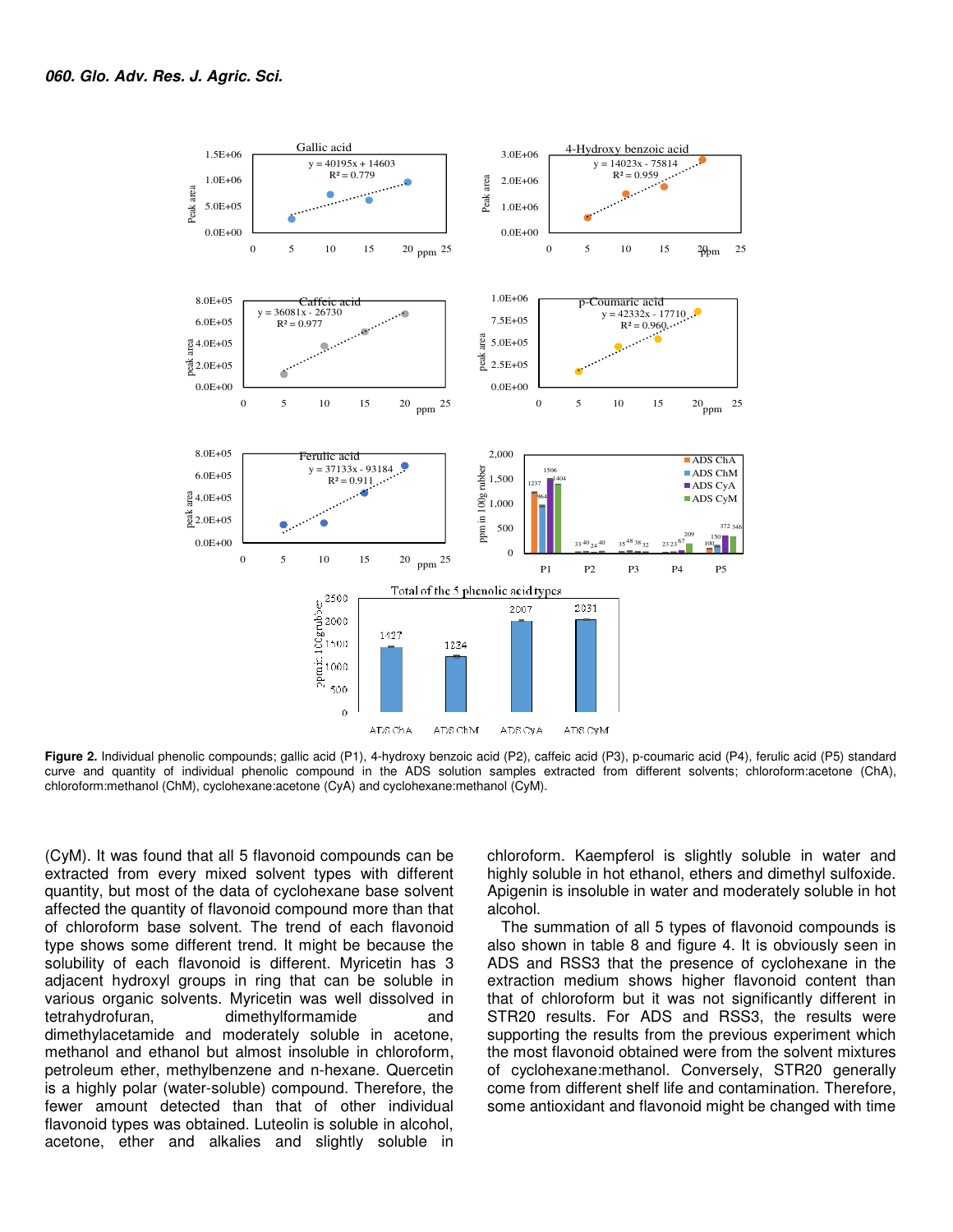

**Figure 2.** Individual phenolic compounds; gallic acid (P1), 4-hydroxy benzoic acid (P2), caffeic acid (P3), p-coumaric acid (P4), ferulic acid (P5) standard curve and quantity of individual phenolic compound in the ADS solution samples extracted from different solvents; chloroform:acetone (ChA), chloroform:methanol (ChM), cyclohexane:acetone (CyA) and cyclohexane:methanol (CyM).

(CyM). It was found that all 5 flavonoid compounds can be extracted from every mixed solvent types with different quantity, but most of the data of cyclohexane base solvent affected the quantity of flavonoid compound more than that of chloroform base solvent. The trend of each flavonoid type shows some different trend. It might be because the solubility of each flavonoid is different. Myricetin has 3 adjacent hydroxyl groups in ring that can be soluble in various organic solvents. Myricetin was well dissolved in tetrahydrofuran, dimethylformamide and dimethylacetamide and moderately soluble in acetone, methanol and ethanol but almost insoluble in chloroform, petroleum ether, methylbenzene and n-hexane. Quercetin is a highly polar (water-soluble) compound. Therefore, the fewer amount detected than that of other individual flavonoid types was obtained. Luteolin is soluble in alcohol, acetone, ether and alkalies and slightly soluble in

chloroform. Kaempferol is slightly soluble in water and highly soluble in hot ethanol, ethers and dimethyl sulfoxide. Apigenin is insoluble in water and moderately soluble in hot alcohol.

The summation of all 5 types of flavonoid compounds is also shown in table 8 and figure 4. It is obviously seen in ADS and RSS3 that the presence of cyclohexane in the extraction medium shows higher flavonoid content than that of chloroform but it was not significantly different in STR20 results. For ADS and RSS3, the results were supporting the results from the previous experiment which the most flavonoid obtained were from the solvent mixtures of cyclohexane:methanol. Conversely, STR20 generally come from different shelf life and contamination. Therefore, some antioxidant and flavonoid might be changed with time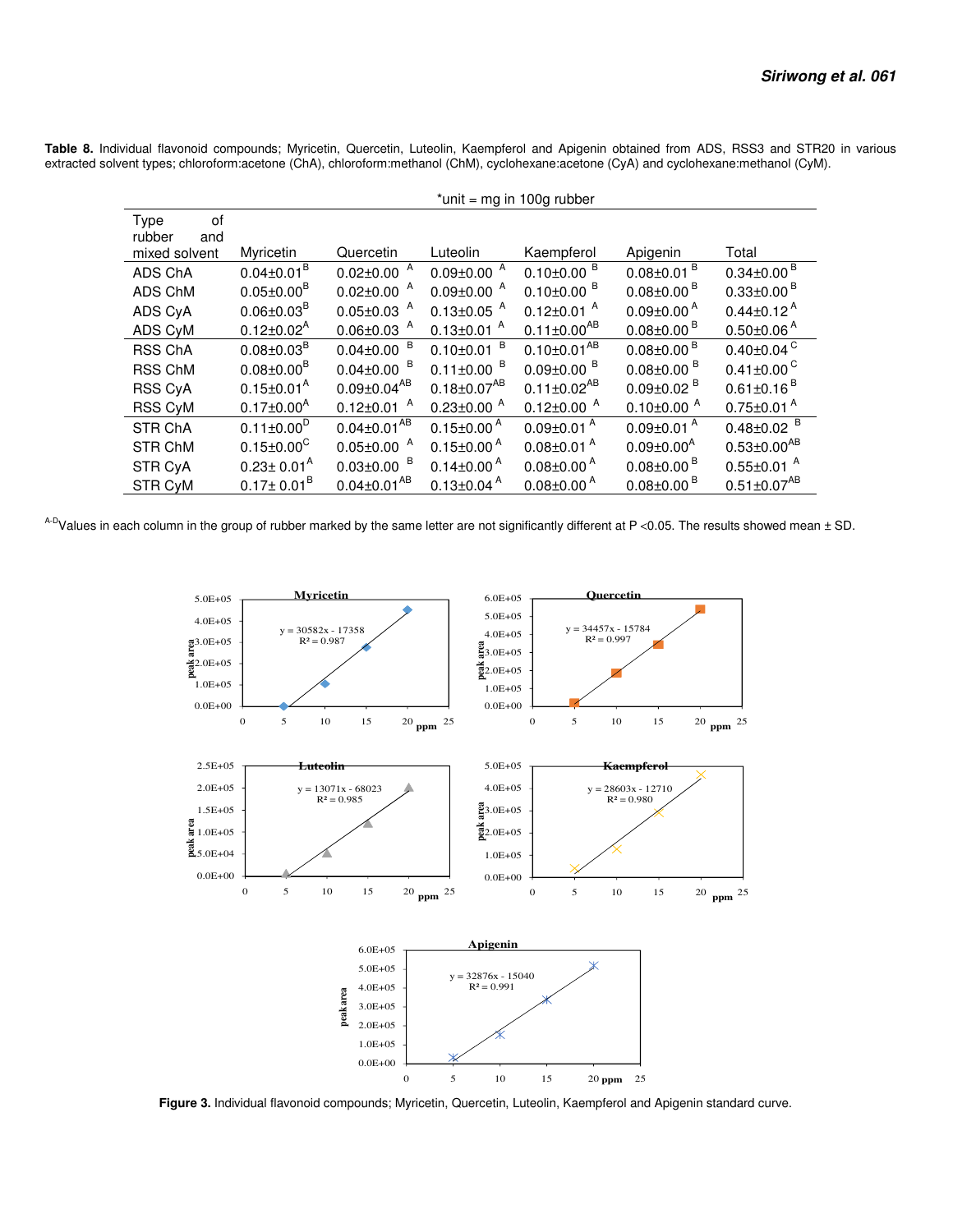**Table 8.** Individual flavonoid compounds; Myricetin, Quercetin, Luteolin, Kaempferol and Apigenin obtained from ADS, RSS3 and STR20 in various extracted solvent types; chloroform:acetone (ChA), chloroform:methanol (ChM), cyclohexane:acetone (CyA) and cyclohexane:methanol (CyM).

|                                              | $*$ unit = mg in 100g rubber |                              |                              |                              |                              |                              |
|----------------------------------------------|------------------------------|------------------------------|------------------------------|------------------------------|------------------------------|------------------------------|
| 0f<br>Type<br>rubber<br>and<br>mixed solvent | Myricetin                    | Quercetin                    | Luteolin                     | Kaempferol                   | Apigenin                     | Total                        |
| ADS ChA                                      | $0.04 \pm 0.01^{\text{B}}$   | $0.02 \pm 0.00$ <sup>A</sup> | $0.09 \pm 0.00$ A            | $0.10 \pm 0.00$ <sup>B</sup> | $0.08 \pm 0.01$ <sup>B</sup> | $0.34 \pm 0.00$ <sup>B</sup> |
| ADS ChM                                      | $0.05 \pm 0.00^B$            | $0.02 \pm 0.00$ A            | $0.09 \pm 0.00$ A            | $0.10\pm0.00$ <sup>B</sup>   | $0.08 \pm 0.00$ <sup>B</sup> | $0.33 \pm 0.00$ <sup>B</sup> |
| ADS CyA                                      | $0.06 \pm 0.03^B$            | $0.05 \pm 0.03$ <sup>A</sup> | $0.13 \pm 0.05$ <sup>A</sup> | $0.12 \pm 0.01$ <sup>A</sup> | $0.09 \pm 0.00^{\text{A}}$   | $0.44 \pm 0.12$ <sup>A</sup> |
| ADS CyM                                      | $0.12 \pm 0.02^{\text{A}}$   | $0.06 \pm 0.03$ <sup>A</sup> | $0.13 \pm 0.01$ <sup>A</sup> | $0.11 \pm 0.00^{AB}$         | $0.08 \pm 0.00$ <sup>B</sup> | $0.50 \pm 0.06$ <sup>A</sup> |
| <b>RSS ChA</b>                               | $0.08 \pm 0.03^B$            | $0.04 \pm 0.00$ <sup>B</sup> | B<br>$0.10 \pm 0.01$         | $0.10 \pm 0.01^{AB}$         | $0.08 \pm 0.00$ <sup>B</sup> | $0.40 \pm 0.04$ <sup>C</sup> |
| <b>RSS ChM</b>                               | $0.08 \pm 0.00^B$            | $0.04 \pm 0.00$ <sup>B</sup> | $0.11 \pm 0.00$ <sup>B</sup> | $0.09 \pm 0.00$ <sup>B</sup> | $0.08 \pm 0.00$ <sup>B</sup> | $0.41 \pm 0.00$ <sup>C</sup> |
| <b>RSS CyA</b>                               | $0.15 \pm 0.01^{\text{A}}$   | $0.09 \pm 0.04^{AB}$         | $0.18 \pm 0.07^{AB}$         | $0.11 \pm 0.02^{AB}$         | $0.09 \pm 0.02$ <sup>B</sup> | $0.61 \pm 0.16$ <sup>B</sup> |
| <b>RSS CyM</b>                               | $0.17 \pm 0.00^{\text{A}}$   | $0.12 \pm 0.01$ <sup>A</sup> | $0.23 \pm 0.00$ A            | $0.12 \pm 0.00$ A            | $0.10\pm0.00$ <sup>A</sup>   | $0.75 \pm 0.01$ <sup>A</sup> |
| <b>STR ChA</b>                               | $0.11 \pm 0.00^D$            | $0.04 \pm 0.01^{AB}$         | $0.15 \pm 0.00^{\text{A}}$   | $0.09 \pm 0.01$ <sup>A</sup> | $0.09 \pm 0.01$ <sup>A</sup> | $0.48 \pm 0.02$ <sup>B</sup> |
| <b>STR ChM</b>                               | $0.15 \pm 0.00^{\circ}$      | $0.05 \pm 0.00$ A            | $0.15 \pm 0.00^{\text{A}}$   | $0.08 \pm 0.01$ <sup>A</sup> | $0.09 \pm 0.00^{\text{A}}$   | $0.53 \pm 0.00^{AB}$         |
| STR CyA                                      | $0.23 \pm 0.01^{\text{A}}$   | $0.03 \pm 0.00$ <sup>B</sup> | $0.14 \pm 0.00^{\text{A}}$   | $0.08 \pm 0.00^{\text{A}}$   | $0.08 \pm 0.00$ <sup>B</sup> | $0.55 \pm 0.01$ <sup>A</sup> |
| STR CyM                                      | $0.17 \pm 0.01^B$            | $0.04 \pm 0.01^{AB}$         | $0.13 \pm 0.04$ <sup>A</sup> | $0.08 \pm 0.00^{\text{A}}$   | $0.08 \pm 0.00$ <sup>B</sup> | $0.51 \pm 0.07^{AB}$         |

A-DValues in each column in the group of rubber marked by the same letter are not significantly different at P <0.05. The results showed mean  $\pm$  SD.



 **Figure 3.** Individual flavonoid compounds; Myricetin, Quercetin, Luteolin, Kaempferol and Apigenin standard curve.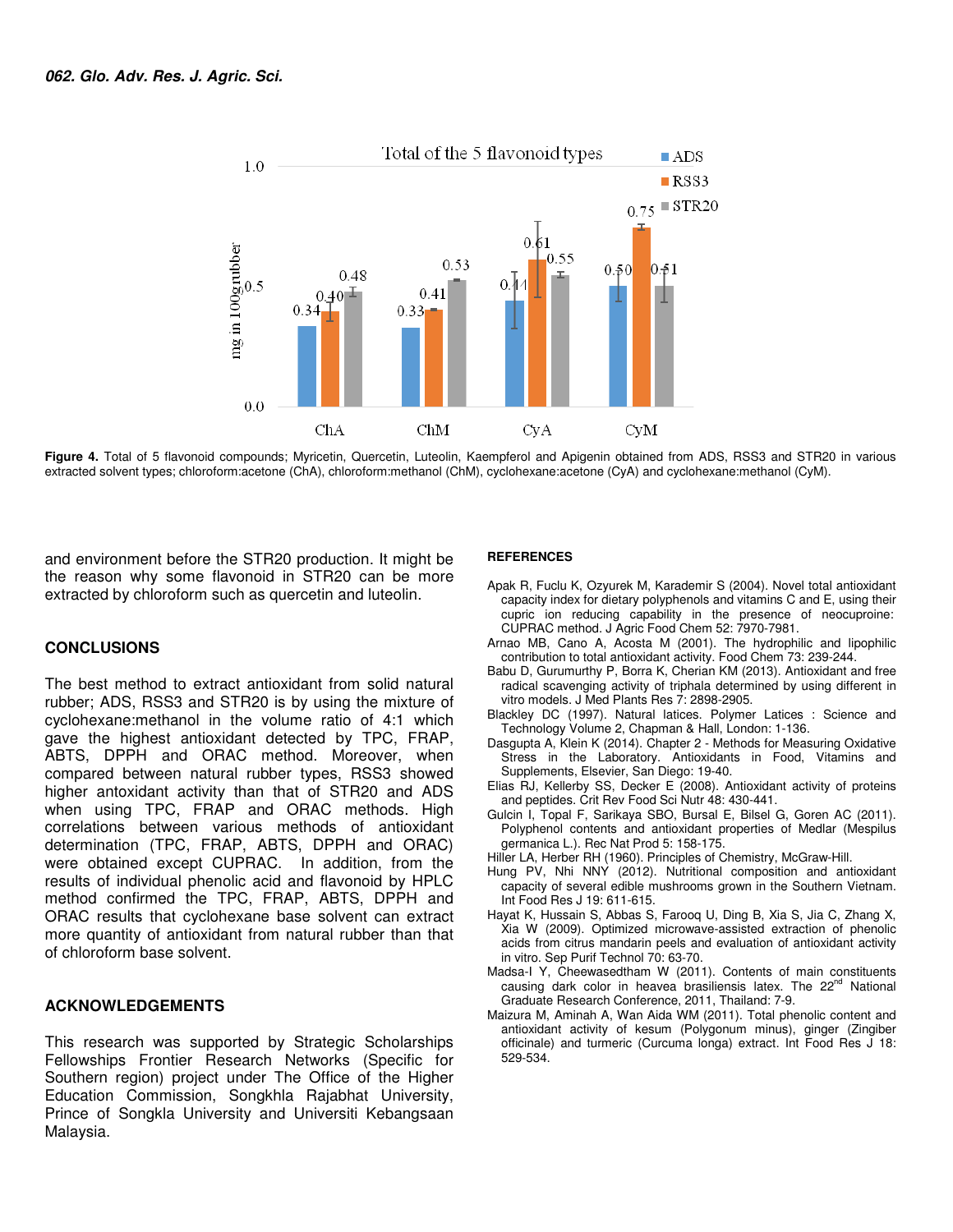

**Figure 4.** Total of 5 flavonoid compounds; Myricetin, Quercetin, Luteolin, Kaempferol and Apigenin obtained from ADS, RSS3 and STR20 in various extracted solvent types; chloroform:acetone (ChA), chloroform:methanol (ChM), cyclohexane:acetone (CyA) and cyclohexane:methanol (CyM).

and environment before the STR20 production. It might be the reason why some flavonoid in STR20 can be more extracted by chloroform such as quercetin and luteolin.

#### **CONCLUSIONS**

The best method to extract antioxidant from solid natural rubber; ADS, RSS3 and STR20 is by using the mixture of cyclohexane:methanol in the volume ratio of 4:1 which gave the highest antioxidant detected by TPC, FRAP, ABTS, DPPH and ORAC method. Moreover, when compared between natural rubber types, RSS3 showed higher antoxidant activity than that of STR20 and ADS when using TPC, FRAP and ORAC methods. High correlations between various methods of antioxidant determination (TPC, FRAP, ABTS, DPPH and ORAC) were obtained except CUPRAC. In addition, from the results of individual phenolic acid and flavonoid by HPLC method confirmed the TPC, FRAP, ABTS, DPPH and ORAC results that cyclohexane base solvent can extract more quantity of antioxidant from natural rubber than that of chloroform base solvent.

#### **ACKNOWLEDGEMENTS**

This research was supported by Strategic Scholarships Fellowships Frontier Research Networks (Specific for Southern region) project under The Office of the Higher Education Commission, Songkhla Rajabhat University, Prince of Songkla University and Universiti Kebangsaan Malaysia.

#### **REFERENCES**

- Apak R, Fuclu K, Ozyurek M, Karademir S (2004). Novel total antioxidant capacity index for dietary polyphenols and vitamins C and E, using their cupric ion reducing capability in the presence of neocuproine: CUPRAC method. J Agric Food Chem 52: 7970-7981.
- Arnao MB, Cano A, Acosta M (2001). The hydrophilic and lipophilic contribution to total antioxidant activity. Food Chem 73: 239-244.
- Babu D, Gurumurthy P, Borra K, Cherian KM (2013). Antioxidant and free radical scavenging activity of triphala determined by using different in vitro models. J Med Plants Res 7: 2898-2905.
- Blackley DC (1997). Natural latices. Polymer Latices : Science and Technology Volume 2, Chapman & Hall, London: 1-136.
- Dasgupta A, Klein K (2014). Chapter 2 Methods for Measuring Oxidative Stress in the Laboratory. Antioxidants in Food, Vitamins and Supplements, Elsevier, San Diego: 19-40.
- Elias RJ, Kellerby SS, Decker E (2008). Antioxidant activity of proteins and peptides. Crit Rev Food Sci Nutr 48: 430-441.
- Gulcin I, Topal F, Sarikaya SBO, Bursal E, Bilsel G, Goren AC (2011). Polyphenol contents and antioxidant properties of Medlar (Mespilus germanica L.). Rec Nat Prod 5: 158-175.
- Hiller LA, Herber RH (1960). Principles of Chemistry, McGraw-Hill.
- Hung PV, Nhi NNY (2012). Nutritional composition and antioxidant capacity of several edible mushrooms grown in the Southern Vietnam. Int Food Res J 19: 611-615.
- Hayat K, Hussain S, Abbas S, Farooq U, Ding B, Xia S, Jia C, Zhang X, Xia W (2009). Optimized microwave-assisted extraction of phenolic acids from citrus mandarin peels and evaluation of antioxidant activity in vitro. Sep Purif Technol 70: 63-70.
- Madsa-I Y, Cheewasedtham W (2011). Contents of main constituents causing dark color in heavea brasiliensis latex. The 22<sup>nd</sup> National Graduate Research Conference, 2011, Thailand: 7-9.
- Maizura M, Aminah A, Wan Aida WM (2011). Total phenolic content and antioxidant activity of kesum (Polygonum minus), ginger (Zingiber officinale) and turmeric (Curcuma longa) extract. Int Food Res J 18: 529-534.